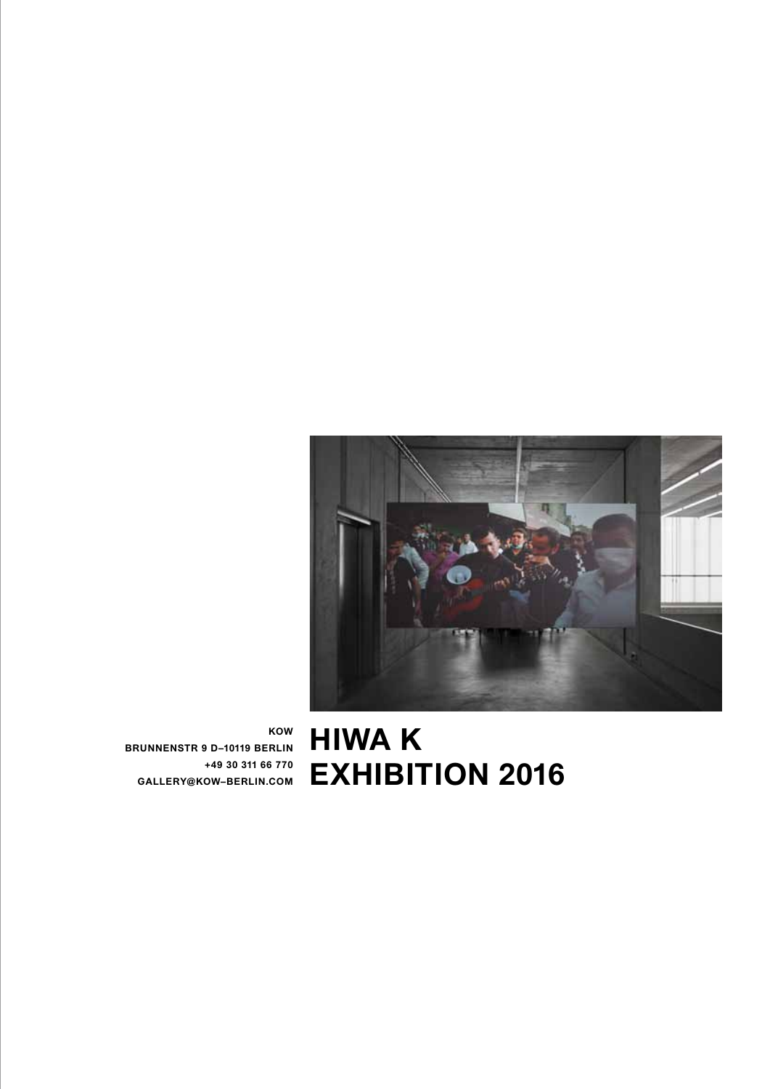

**HIWA K EXHIBITION 2016**

**KOW BRUNNENSTR 9 D–10119 BERLIN +49 30 311 66 770 GALLERY@KOW–BERLIN.COM**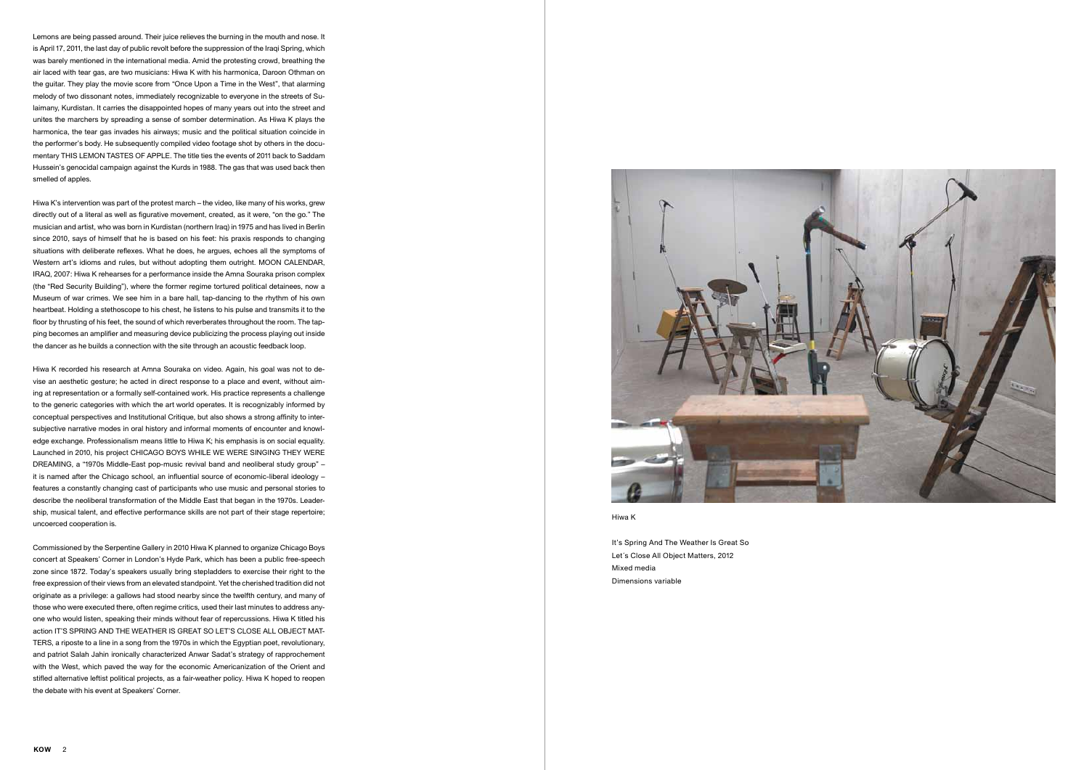It's Spring And The Weather Is Great So Let´s Close All Object Matters, 2012 Mixed media Dimensions variable

Lemons are being passed around. Their juice relieves the burning in the mouth and nose. It is April 17, 2011, the last day of public revolt before the suppression of the Iraqi Spring, which was barely mentioned in the international media. Amid the protesting crowd, breathing the air laced with tear gas, are two musicians: Hiwa K with his harmonica, Daroon Othman on the guitar. They play the movie score from "Once Upon a Time in the West", that alarming melody of two dissonant notes, immediately recognizable to everyone in the streets of Sulaimany, Kurdistan. It carries the disappointed hopes of many years out into the street and unites the marchers by spreading a sense of somber determination. As Hiwa K plays the harmonica, the tear gas invades his airways; music and the political situation coincide in the performer's body. He subsequently compiled video footage shot by others in the documentary THIS LEMON TASTES OF APPLE. The title ties the events of 2011 back to Saddam Hussein's genocidal campaign against the Kurds in 1988. The gas that was used back then smelled of apples.

Hiwa K's intervention was part of the protest march – the video, like many of his works, grew directly out of a literal as well as figurative movement, created, as it were, "on the go." The musician and artist, who was born in Kurdistan (northern Iraq) in 1975 and has lived in Berlin since 2010, says of himself that he is based on his feet: his praxis responds to changing situations with deliberate reflexes. What he does, he argues, echoes all the symptoms of Western art's idioms and rules, but without adopting them outright. MOON CALENDAR, IRAQ, 2007: Hiwa K rehearses for a performance inside the Amna Souraka prison complex (the "Red Security Building"), where the former regime tortured political detainees, now a Museum of war crimes. We see him in a bare hall, tap-dancing to the rhythm of his own heartbeat. Holding a stethoscope to his chest, he listens to his pulse and transmits it to the floor by thrusting of his feet, the sound of which reverberates throughout the room. The tapping becomes an amplifier and measuring device publicizing the process playing out inside the dancer as he builds a connection with the site through an acoustic feedback loop.

Hiwa K recorded his research at Amna Souraka on video. Again, his goal was not to devise an aesthetic gesture; he acted in direct response to a place and event, without aiming at representation or a formally self-contained work. His practice represents a challenge to the generic categories with which the art world operates. It is recognizably informed by conceptual perspectives and Institutional Critique, but also shows a strong affinity to intersubjective narrative modes in oral history and informal moments of encounter and knowledge exchange. Professionalism means little to Hiwa K; his emphasis is on social equality. Launched in 2010, his project CHICAGO BOYS WHILE WE WERE SINGING THEY WERE DREAMING, a "1970s Middle-East pop-music revival band and neoliberal study group" – it is named after the Chicago school, an influential source of economic-liberal ideology – features a constantly changing cast of participants who use music and personal stories to describe the neoliberal transformation of the Middle East that began in the 1970s. Leadership, musical talent, and effective performance skills are not part of their stage repertoire; uncoerced cooperation is.

Commissioned by the Serpentine Gallery in 2010 Hiwa K planned to organize Chicago Boys concert at Speakers' Corner in London's Hyde Park, which has been a public free-speech zone since 1872. Today's speakers usually bring stepladders to exercise their right to the free expression of their views from an elevated standpoint. Yet the cherished tradition did not originate as a privilege: a gallows had stood nearby since the twelfth century, and many of those who were executed there, often regime critics, used their last minutes to address anyone who would listen, speaking their minds without fear of repercussions. Hiwa K titled his action IT'S SPRING AND THE WEATHER IS GREAT SO LET'S CLOSE ALL OBJECT MAT-TERS, a riposte to a line in a song from the 1970s in which the Egyptian poet, revolutionary, and patriot Salah Jahin ironically characterized Anwar Sadat's strategy of rapprochement with the West, which paved the way for the economic Americanization of the Orient and stifled alternative leftist political projects, as a fair-weather policy. Hiwa K hoped to reopen the debate with his event at Speakers' Corner.

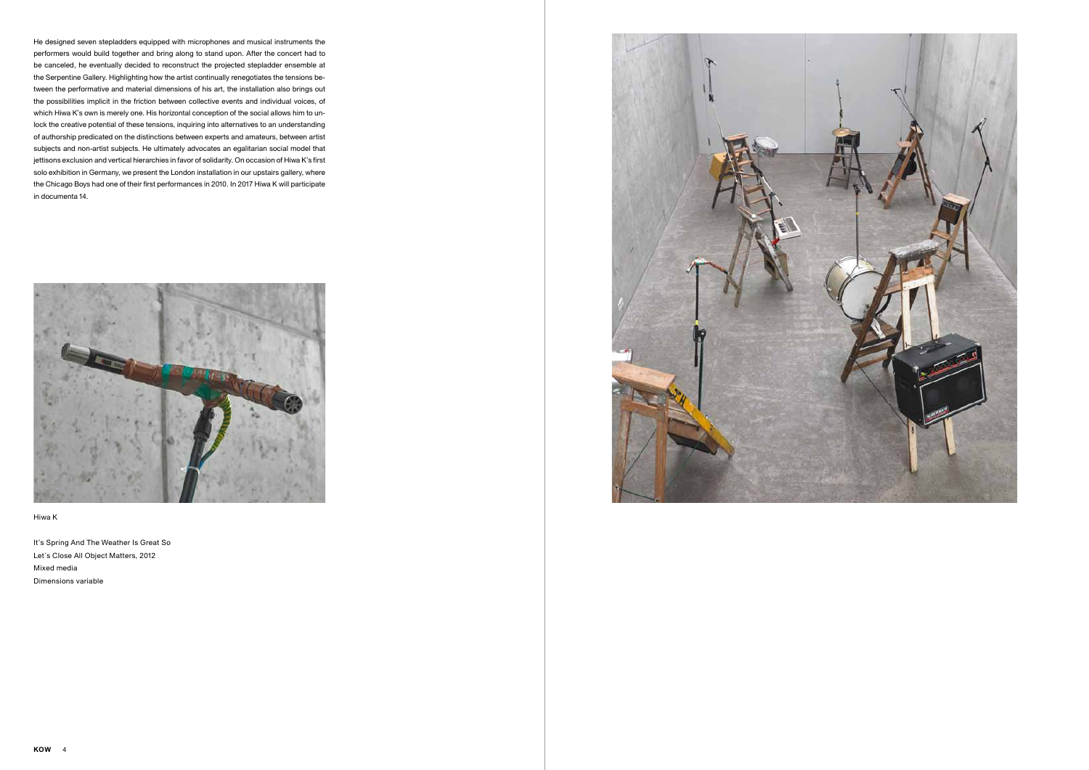He designed seven stepladders equipped with microphones and musical instruments the performers would build together and bring along to stand upon. After the concert had to be canceled, he eventually decided to reconstruct the projected stepladder ensemble at the Serpentine Gallery. Highlighting how the artist continually renegotiates the tensions between the performative and material dimensions of his art, the installation also brings out the possibilities implicit in the friction between collective events and individual voices, of which Hiwa K's own is merely one. His horizontal conception of the social allows him to unlock the creative potential of these tensions, inquiring into alternatives to an understanding of authorship predicated on the distinctions between experts and amateurs, between artist subjects and non-artist subjects. He ultimately advocates an egalitarian social model that jettisons exclusion and vertical hierarchies in favor of solidarity. On occasion of Hiwa K's first solo exhibition in Germany, we present the London installation in our upstairs gallery, where the Chicago Boys had one of their first performances in 2010. In 2017 Hiwa K will participate in documenta 14.



## Hiwa K

It's Spring And The Weather Is Great So Let´s Close All Object Matters, 2012 Mixed media Dimensions variable

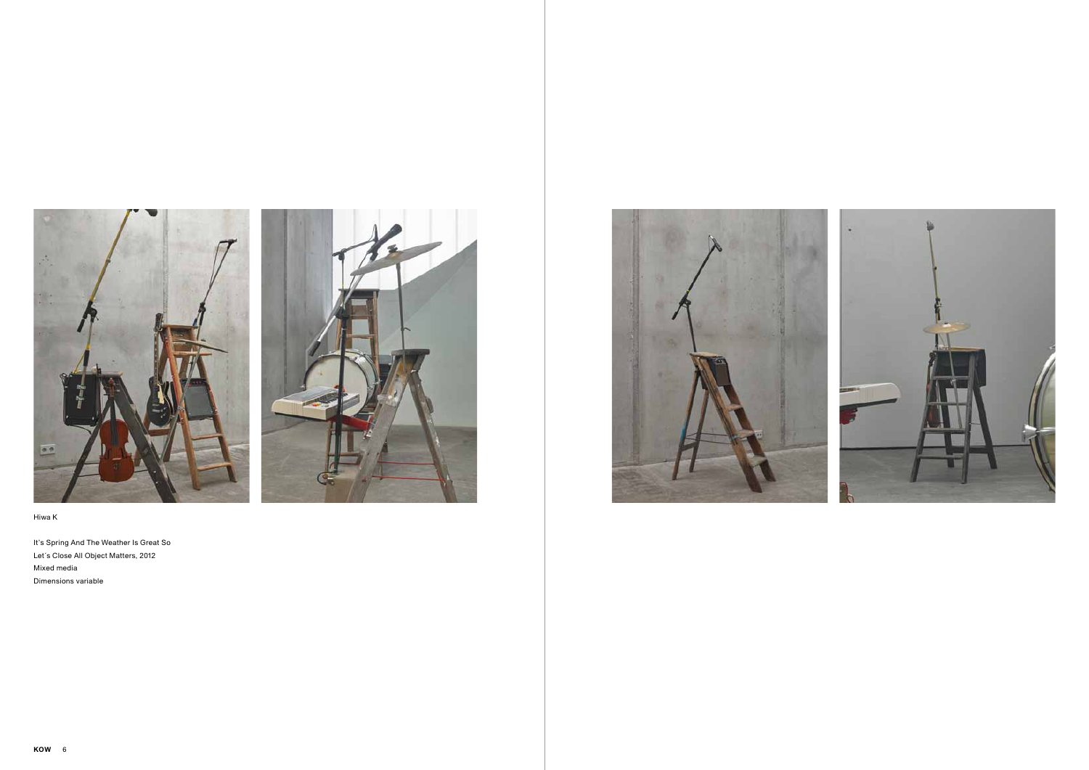



It's Spring And The Weather Is Great So Let´s Close All Object Matters, 2012 Mixed media Dimensions variable



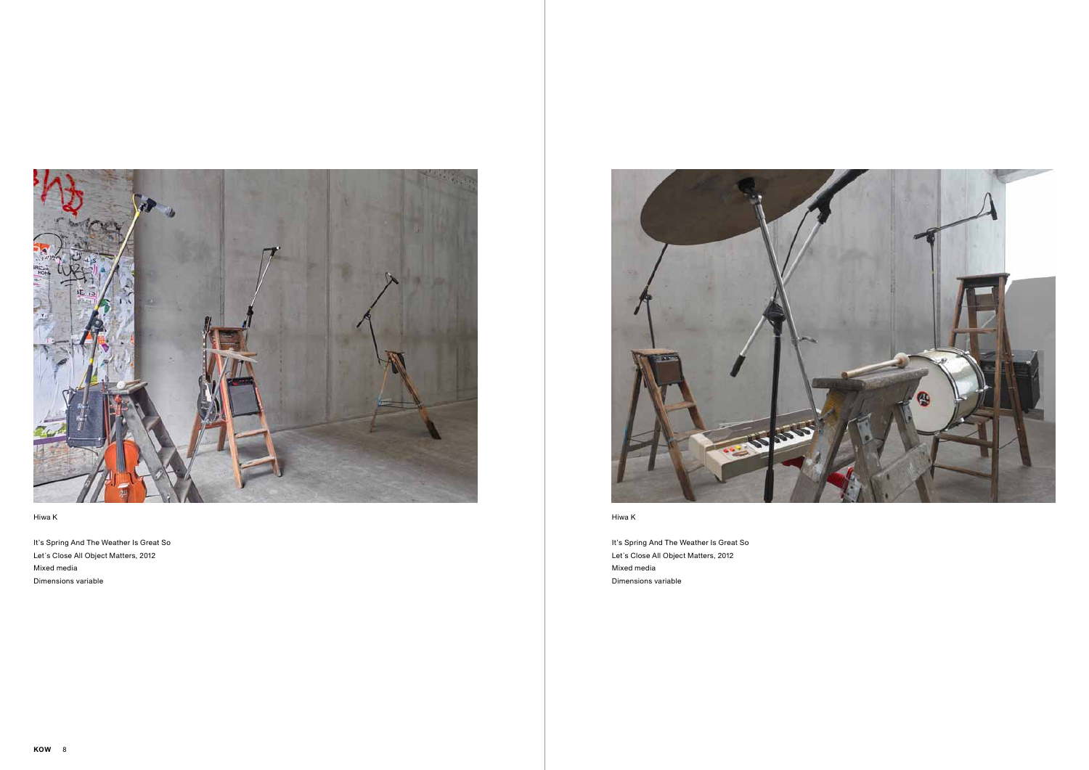

It's Spring And The Weather Is Great So Let´s Close All Object Matters, 2012 Mixed media Dimensions variable



Hiwa K

It's Spring And The Weather Is Great So Let´s Close All Object Matters, 2012 Mixed media Dimensions variable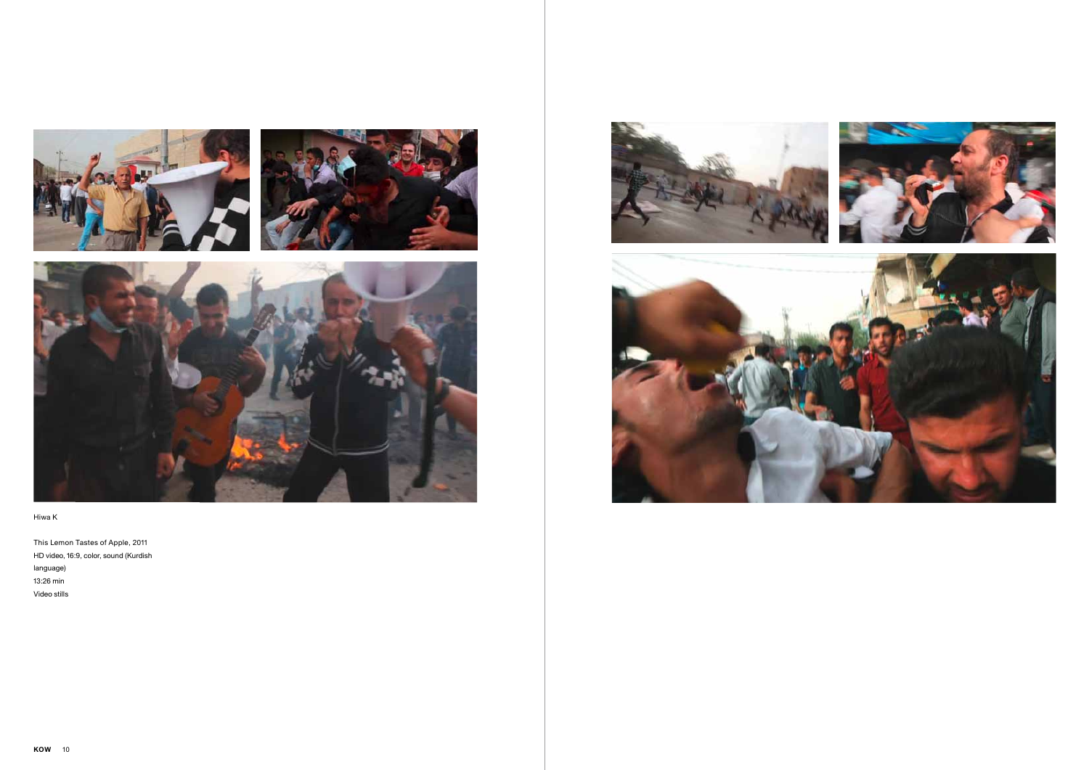





This Lemon Tastes of Apple, 2011 HD video, 16:9, color, sound (Kurdish language) 13:26 min Video stills



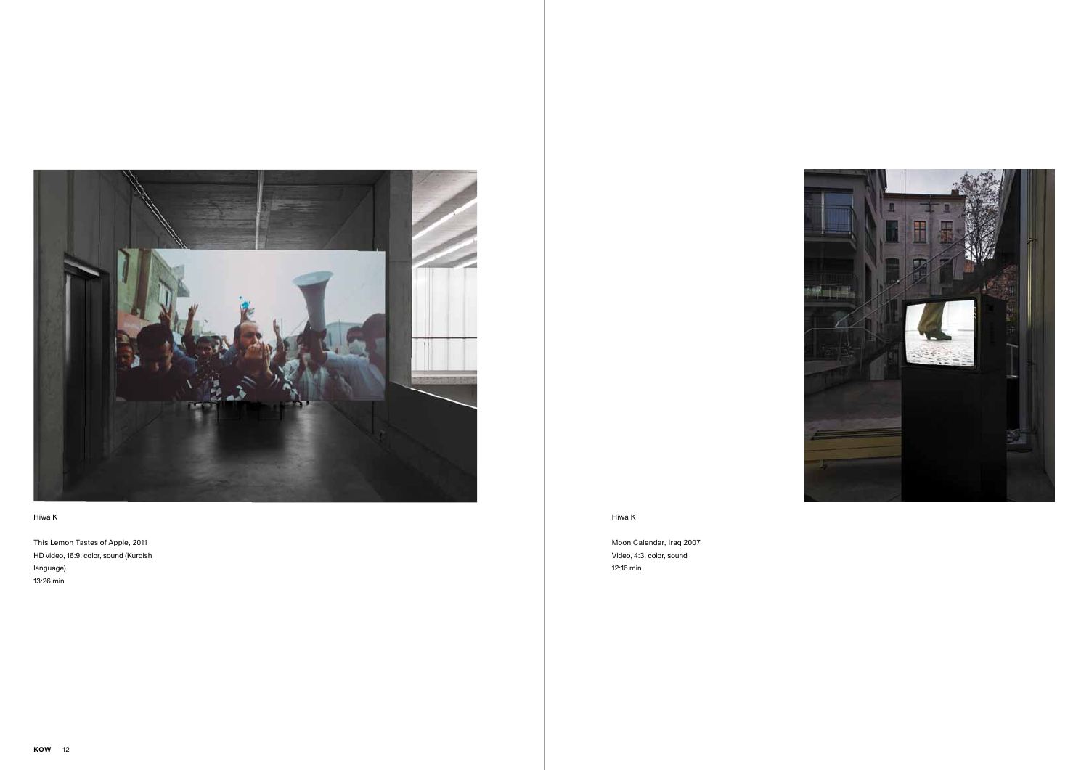

Moon Calendar, Iraq 2007 Video, 4:3, color, sound 12:16 min



## Hiwa K

This Lemon Tastes of Apple, 2011 HD video, 16:9, color, sound (Kurdish language) 13:26 min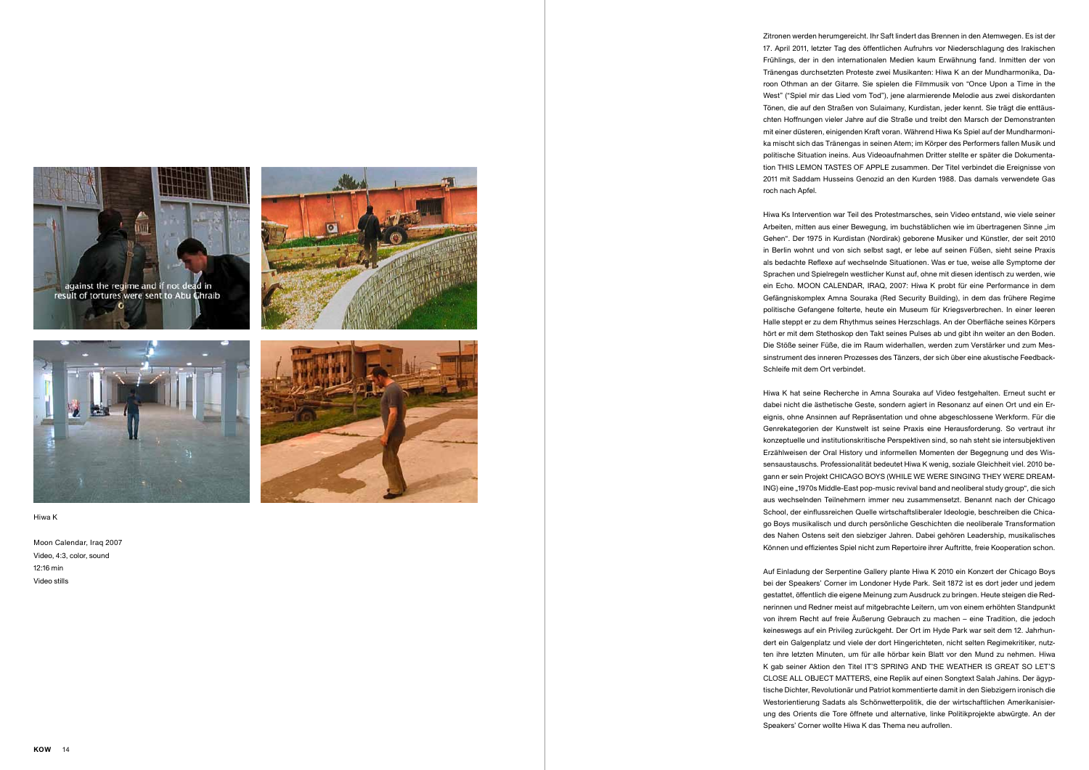

result of tortures were sent to Abu Chraib





#### Hiwa K

Moon Calendar, Iraq 2007 Video, 4:3, color, sound 12:16 min Video stills



Zitronen werden herumgereicht. Ihr Saft lindert das Brennen in den Atemwegen. Es ist der 17. April 2011, letzter Tag des öffentlichen Aufruhrs vor Niederschlagung des Irakischen Frühlings, der in den internationalen Medien kaum Erwähnung fand. Inmitten der von Tränengas durchsetzten Proteste zwei Musikanten: Hiwa K an der Mundharmonika, Da roon Othman an der Gitarre. Sie spielen die Filmmusik von "Once Upon a Time in the West" ("Spiel mir das Lied vom Tod"), jene alarmierende Melodie aus zwei diskordanten Tönen, die auf den Straßen von Sulaimany, Kurdistan, jeder kennt. Sie trägt die enttäus chten Hoffnungen vieler Jahre auf die Straße und treibt den Marsch der Demonstranten mit einer düsteren, einigenden Kraft voran. Während Hiwa Ks Spiel auf der Mundharmoni ka mischt sich das Tränengas in seinen Atem; im Körper des Performers fallen Musik und politische Situation ineins. Aus Videoaufnahmen Dritter stellte er später die Dokumenta tion THIS LEMON TASTES OF APPLE zusammen. Der Titel verbindet die Ereignisse von 2011 mit Saddam Husseins Genozid an den Kurden 1988. Das damals verwendete Gas roch nach Apfel.

Hiwa Ks Intervention war Teil des Protestmarsches, sein Video entstand, wie viele seiner Arbeiten, mitten aus einer Bewegung, im buchstäblichen wie im übertragenen Sinne "im Gehen". Der 1975 in Kurdistan (Nordirak) geborene Musiker und Künstler, der seit 2010 in Berlin wohnt und von sich selbst sagt, er lebe auf seinen Füßen, sieht seine Praxis als bedachte Reflexe auf wechselnde Situationen. Was er tue, weise alle Symptome der Sprachen und Spielregeln westlicher Kunst auf, ohne mit diesen identisch zu werden, wie ein Echo. MOON CALENDAR, IRAQ, 2007: Hiwa K probt für eine Performance in dem Gefängniskomplex Amna Souraka (Red Security Building), in dem das frühere Regime politische Gefangene folterte, heute ein Museum für Kriegsverbrechen. In einer leeren Halle steppt er zu dem Rhythmus seines Herzschlags. An der Oberfläche seines Körpers hört er mit dem Stethoskop den Takt seines Pulses ab und gibt ihn weiter an den Boden. Die Stöße seiner Füße, die im Raum widerhallen, werden zum Verstärker und zum Mes sinstrument des inneren Prozesses des Tänzers, der sich über eine akustische Feedback-Schleife mit dem Ort verbindet.

Hiwa K hat seine Recherche in Amna Souraka auf Video festgehalten. Erneut sucht er dabei nicht die ästhetische Geste, sondern agiert in Resonanz auf einen Ort und ein Er eignis, ohne Ansinnen auf Repräsentation und ohne abgeschlossene Werkform. Für die Genrekategorien der Kunstwelt ist seine Praxis eine Herausforderung. So vertraut ihr konzeptuelle und institutionskritische Perspektiven sind, so nah steht sie intersubjektiven Erzählweisen der Oral History und informellen Momenten der Begegnung und des Wis sensaustauschs. Professionalität bedeutet Hiwa K wenig, soziale Gleichheit viel. 2010 be gann er sein Projekt CHICAGO BOYS (WHILE WE WERE SINGING THEY WERE DREAM - ING) eine "1970s Middle-East pop-music revival band and neoliberal study group", die sich aus wechselnden Teilnehmern immer neu zusammensetzt. Benannt nach der Chicago School, der einflussreichen Quelle wirtschaftsliberaler Ideologie, beschreiben die Chica go Boys musikalisch und durch persönliche Geschichten die neoliberale Transformation des Nahen Ostens seit den siebziger Jahren. Dabei gehören Leadership, musikalisches Können und effizientes Spiel nicht zum Repertoire ihrer Auftritte, freie Kooperation schon.

Auf Einladung der Serpentine Gallery plante Hiwa K 2010 ein Konzert der Chicago Boys bei der Speakers' Corner im Londoner Hyde Park. Seit 1872 ist es dort jeder und jedem gestattet, öffentlich die eigene Meinung zum Ausdruck zu bringen. Heute steigen die Red nerinnen und Redner meist auf mitgebrachte Leitern, um von einem erhöhten Standpunkt von ihrem Recht auf freie Äußerung Gebrauch zu machen – eine Tradition, die jedoch keineswegs auf ein Privileg zurückgeht. Der Ort im Hyde Park war seit dem 12. Jahrhun dert ein Galgenplatz und viele der dort Hingerichteten, nicht selten Regimekritiker, nutz ten ihre letzten Minuten, um für alle hörbar kein Blatt vor den Mund zu nehmen. Hiwa K gab seiner Aktion den Titel IT'S SPRING AND THE WEATHER IS GREAT SO LET'S CLOSE ALL OBJECT MATTERS, eine Replik auf einen Songtext Salah Jahins. Der ägyp tische Dichter, Revolutionär und Patriot kommentierte damit in den Siebzigern ironisch die Westorientierung Sadats als Schönwetterpolitik, die der wirtschaftlichen Amerikanisier ung des Orients die Tore öffnete und alternative, linke Politikprojekte abwürgte. An der Speakers' Corner wollte Hiwa K das Thema neu aufrollen.